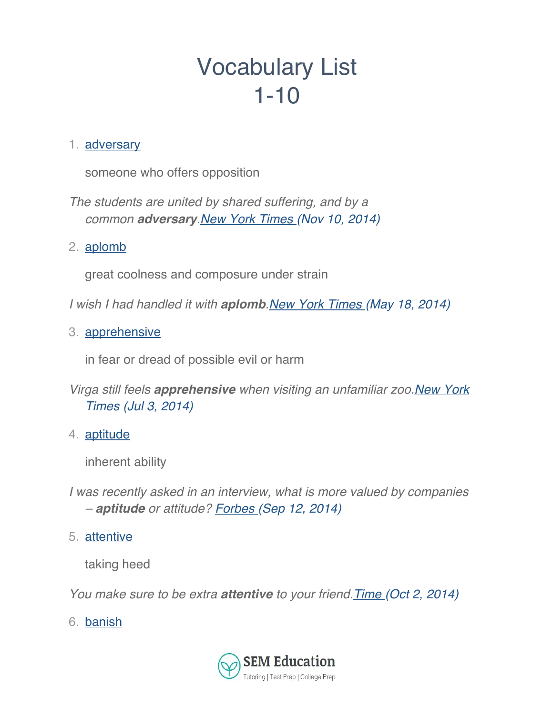# Vocabulary List 1-10

### 1. adversary

someone who offers opposition

*The students are united by shared suffering, and by a common adversary.New York Times (Nov 10, 2014)*

2. aplomb

great coolness and composure under strain

*I wish I had handled it with aplomb.New York Times (May 18, 2014)*

3. apprehensive

in fear or dread of possible evil or harm

- *Virga still feels apprehensive when visiting an unfamiliar zoo.New York Times (Jul 3, 2014)*
- 4. aptitude

inherent ability

- *I was recently asked in an interview, what is more valued by companies – aptitude or attitude? Forbes (Sep 12, 2014)*
- 5. attentive

taking heed

*You make sure to be extra attentive to your friend.Time (Oct 2, 2014)*

6. banish

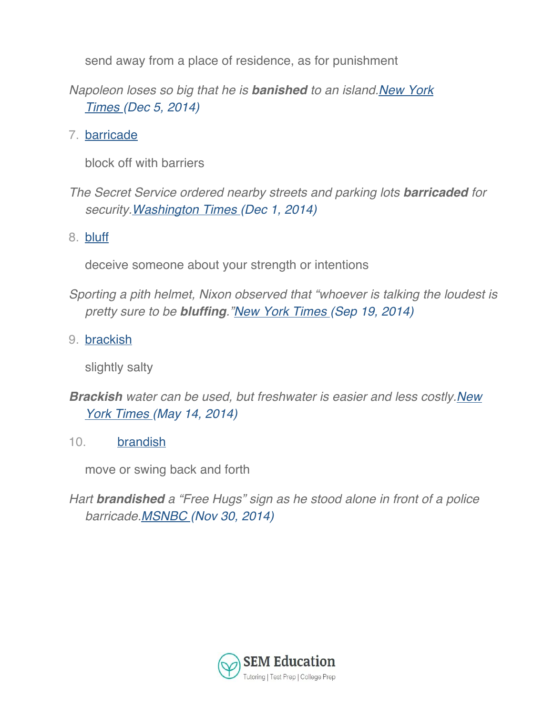send away from a place of residence, as for punishment

*Napoleon loses so big that he is banished to an island.New York Times (Dec 5, 2014)*

7. barricade

block off with barriers

*The Secret Service ordered nearby streets and parking lots barricaded for security.Washington Times (Dec 1, 2014)*

8. bluff

deceive someone about your strength or intentions

- *Sporting a pith helmet, Nixon observed that "whoever is talking the loudest is pretty sure to be bluffing."New York Times (Sep 19, 2014)*
- 9. brackish

slightly salty

- *Brackish water can be used, but freshwater is easier and less costly.New York Times (May 14, 2014)*
- 10. brandish

move or swing back and forth

*Hart brandished a "Free Hugs" sign as he stood alone in front of a police barricade.MSNBC (Nov 30, 2014)*

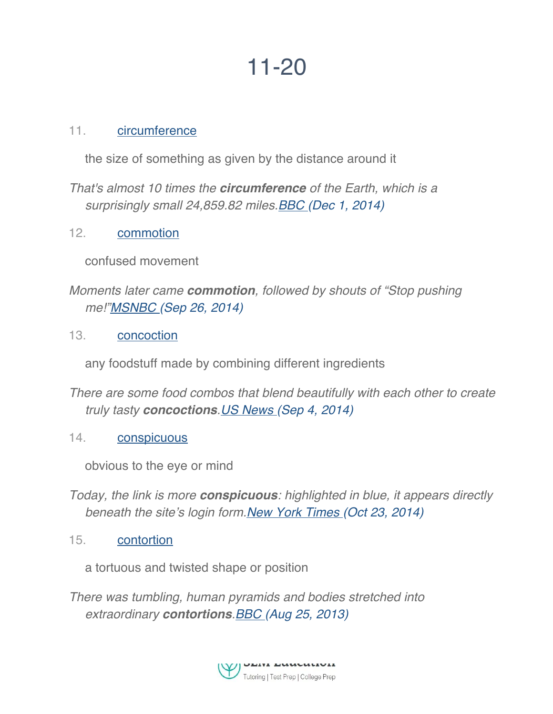## 11-20

#### 11. circumference

the size of something as given by the distance around it

*That's almost 10 times the circumference of the Earth, which is a surprisingly small 24,859.82 miles.BBC (Dec 1, 2014)*

12. commotion

confused movement

*Moments later came commotion, followed by shouts of "Stop pushing me!"MSNBC (Sep 26, 2014)*

13. concoction

any foodstuff made by combining different ingredients

- *There are some food combos that blend beautifully with each other to create truly tasty concoctions.US News (Sep 4, 2014)*
- 14. conspicuous

obvious to the eye or mind

- *Today, the link is more conspicuous: highlighted in blue, it appears directly beneath the site's login form.New York Times (Oct 23, 2014)*
- 15. contortion

a tortuous and twisted shape or position

*There was tumbling, human pyramids and bodies stretched into extraordinary contortions.BBC (Aug 25, 2013)*

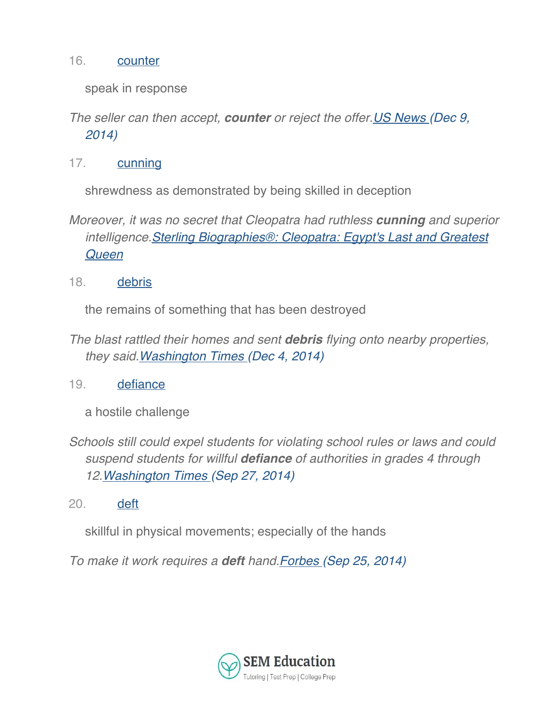#### 16. counter

speak in response

- *The seller can then accept, counter or reject the offer.US News (Dec 9, 2014)*
- 17. cunning

shrewdness as demonstrated by being skilled in deception

*Moreover, it was no secret that Cleopatra had ruthless cunning and superior intelligence.Sterling Biographies®: Cleopatra: Egypt's Last and Greatest Queen*

18. debris

the remains of something that has been destroyed

- *The blast rattled their homes and sent debris flying onto nearby properties, they said.Washington Times (Dec 4, 2014)*
- 19. defiance

a hostile challenge

- *Schools still could expel students for violating school rules or laws and could suspend students for willful defiance of authorities in grades 4 through 12.Washington Times (Sep 27, 2014)*
- 20. deft

skillful in physical movements; especially of the hands

*To make it work requires a deft hand.Forbes (Sep 25, 2014)*

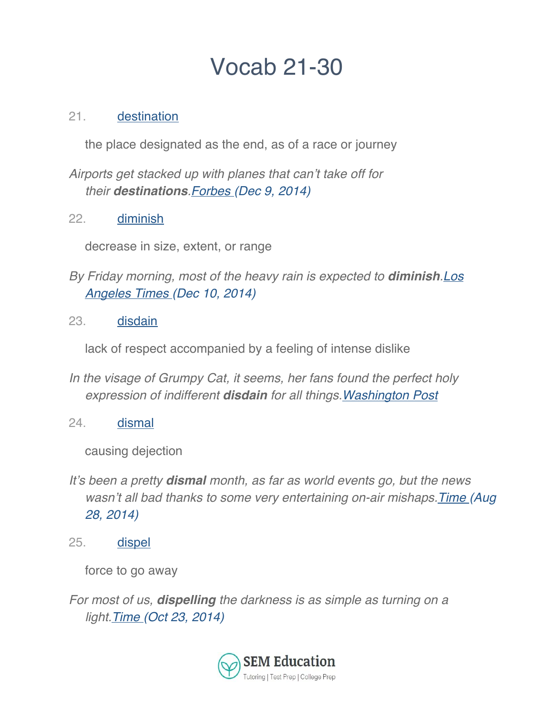# Vocab 21-30

## 21. destination

the place designated as the end, as of a race or journey

*Airports get stacked up with planes that can't take off for their destinations.Forbes (Dec 9, 2014)*

22. diminish

decrease in size, extent, or range

- *By Friday morning, most of the heavy rain is expected to diminish.Los Angeles Times (Dec 10, 2014)*
- 23. disdain

lack of respect accompanied by a feeling of intense dislike

- *In the visage of Grumpy Cat, it seems, her fans found the perfect holy expression of indifferent disdain for all things.Washington Post*
- 24. dismal

causing dejection

- *It's been a pretty dismal month, as far as world events go, but the news wasn't all bad thanks to some very entertaining on-air mishaps.Time (Aug 28, 2014)*
- 25. dispel

force to go away

*For most of us, dispelling the darkness is as simple as turning on a light.Time (Oct 23, 2014)*

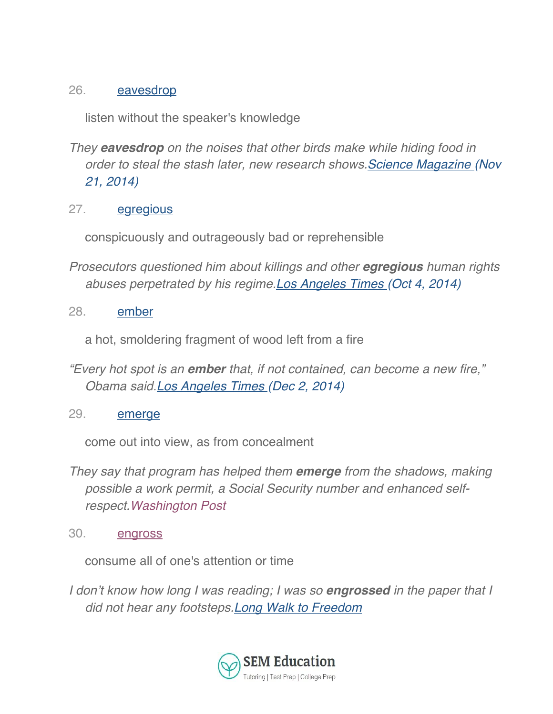## 26. eavesdrop

listen without the speaker's knowledge

- *They eavesdrop on the noises that other birds make while hiding food in order to steal the stash later, new research shows.Science Magazine (Nov 21, 2014)*
- 27. egregious

conspicuously and outrageously bad or reprehensible

- *Prosecutors questioned him about killings and other egregious human rights abuses perpetrated by his regime.Los Angeles Times (Oct 4, 2014)*
- 28. ember

a hot, smoldering fragment of wood left from a fire

- *"Every hot spot is an ember that, if not contained, can become a new fire," Obama said.Los Angeles Times (Dec 2, 2014)*
- 29. emerge

come out into view, as from concealment

- *They say that program has helped them emerge from the shadows, making possible a work permit, a Social Security number and enhanced selfrespect.Washington Post*
- 30. engross

consume all of one's attention or time

*I don't know how long I was reading; I was so engrossed in the paper that I did not hear any footsteps.Long Walk to Freedom*

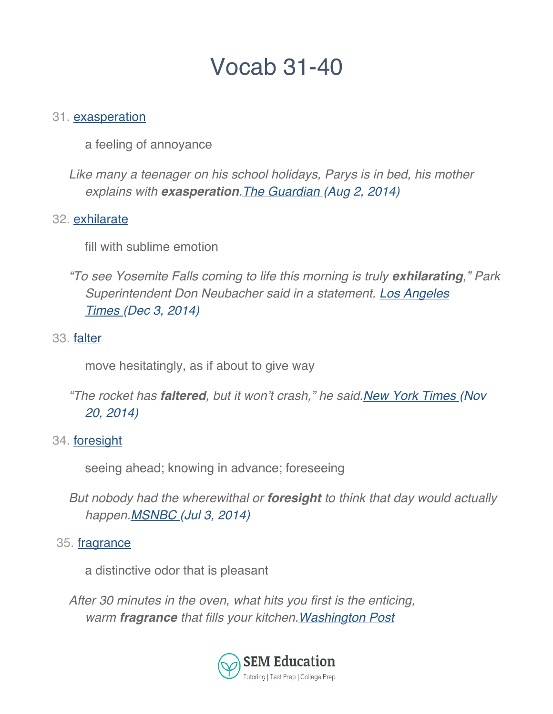## Vocab 31-40

#### 31. exasperation

a feeling of annoyance

*Like many a teenager on his school holidays, Parys is in bed, his mother explains with exasperation.The Guardian (Aug 2, 2014)*

#### 32. exhilarate

fill with sublime emotion

*"To see Yosemite Falls coming to life this morning is truly exhilarating," Park Superintendent Don Neubacher said in a statement. Los Angeles Times (Dec 3, 2014)*

#### 33. falter

move hesitatingly, as if about to give way

*"The rocket has faltered, but it won't crash," he said.New York Times (Nov 20, 2014)*

#### 34. foresight

seeing ahead; knowing in advance; foreseeing

*But nobody had the wherewithal or foresight to think that day would actually happen.MSNBC (Jul 3, 2014)*

#### 35. fragrance

a distinctive odor that is pleasant

*After 30 minutes in the oven, what hits you first is the enticing, warm fragrance that fills your kitchen.Washington Post*

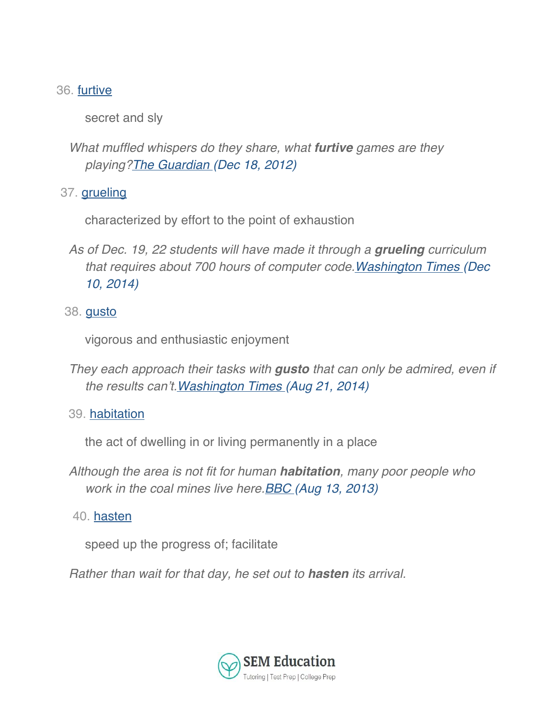## 36. furtive

secret and sly

*What muffled whispers do they share, what furtive games are they playing?The Guardian (Dec 18, 2012)*

37. grueling

characterized by effort to the point of exhaustion

*As of Dec. 19, 22 students will have made it through a grueling curriculum that requires about 700 hours of computer code.Washington Times (Dec 10, 2014)*

## 38. gusto

vigorous and enthusiastic enjoyment

- *They each approach their tasks with gusto that can only be admired, even if the results can't.Washington Times (Aug 21, 2014)*
- 39. habitation

the act of dwelling in or living permanently in a place

- *Although the area is not fit for human habitation, many poor people who work in the coal mines live here.BBC (Aug 13, 2013)*
- 40. hasten

speed up the progress of; facilitate

*Rather than wait for that day, he set out to hasten its arrival.*

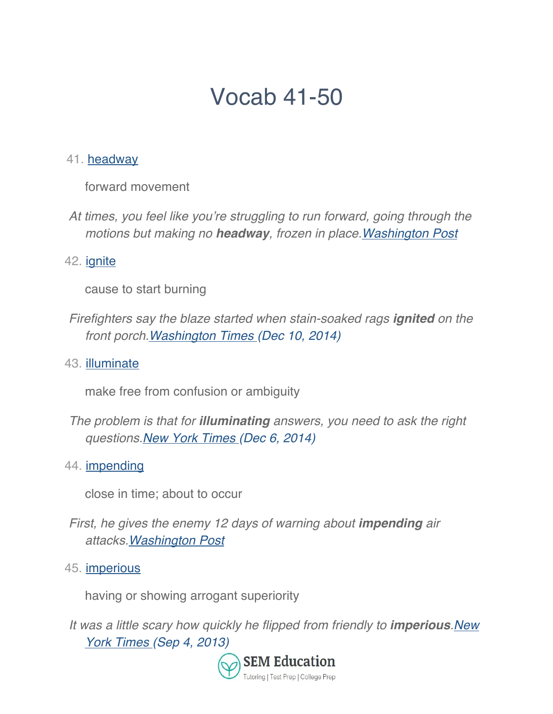# Vocab 41-50

#### 41. headway

forward movement

*At times, you feel like you're struggling to run forward, going through the motions but making no headway, frozen in place.Washington Post*

## 42. *ignite*

cause to start burning

- *Firefighters say the blaze started when stain-soaked rags ignited on the front porch.Washington Times (Dec 10, 2014)*
- 43. illuminate

make free from confusion or ambiguity

- *The problem is that for illuminating answers, you need to ask the right questions.New York Times (Dec 6, 2014)*
- 44. impending

close in time; about to occur

- *First, he gives the enemy 12 days of warning about impending air attacks.Washington Post*
- 45. imperious

having or showing arrogant superiority

*It was a little scary how quickly he flipped from friendly to imperious.New York Times (Sep 4, 2013)*

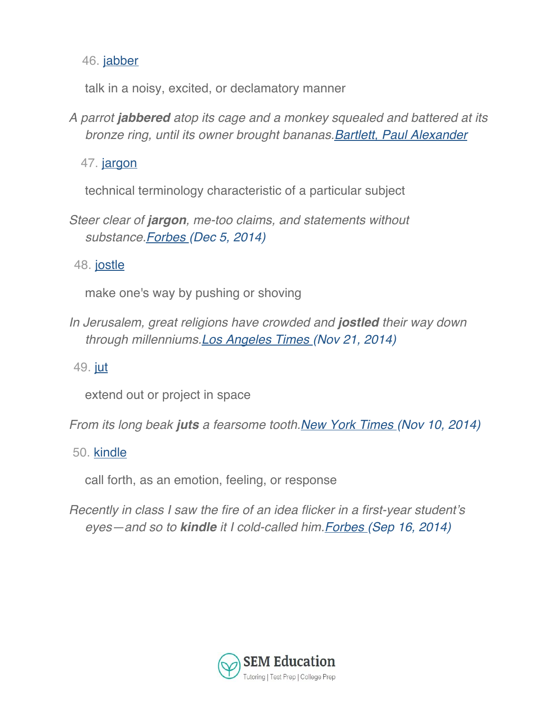46. jabber

talk in a noisy, excited, or declamatory manner

*A parrot jabbered atop its cage and a monkey squealed and battered at its bronze ring, until its owner brought bananas.Bartlett, Paul Alexander*

47. jargon

technical terminology characteristic of a particular subject

*Steer clear of jargon, me-too claims, and statements without substance.Forbes (Dec 5, 2014)*

48. jostle

make one's way by pushing or shoving

*In Jerusalem, great religions have crowded and jostled their way down through millenniums.Los Angeles Times (Nov 21, 2014)*

49. jut

extend out or project in space

*From its long beak juts a fearsome tooth.New York Times (Nov 10, 2014)*

50. kindle

call forth, as an emotion, feeling, or response

*Recently in class I saw the fire of an idea flicker in a first-year student's eyes—and so to kindle it I cold-called him.Forbes (Sep 16, 2014)*

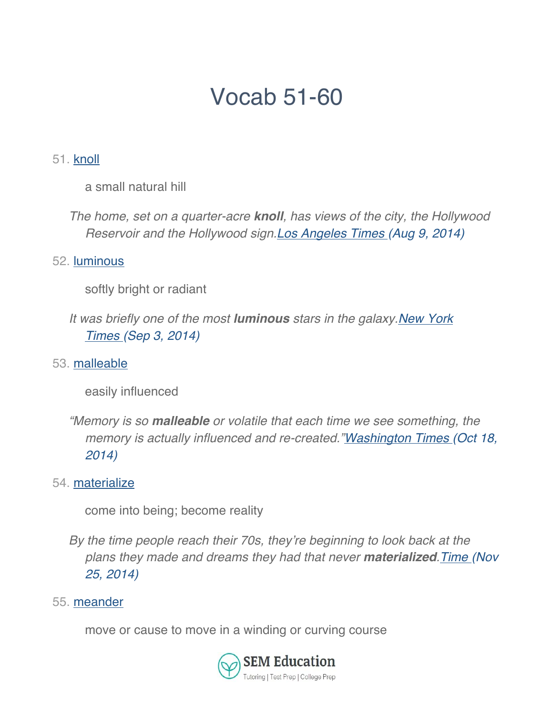# Vocab 51-60

### 51. knoll

a small natural hill

*The home, set on a quarter-acre knoll, has views of the city, the Hollywood Reservoir and the Hollywood sign.Los Angeles Times (Aug 9, 2014)*

#### 52. luminous

- softly bright or radiant
- *It was briefly one of the most luminous stars in the galaxy.New York Times (Sep 3, 2014)*
- 53. malleable

easily influenced

*"Memory is so malleable or volatile that each time we see something, the memory is actually influenced and re-created."Washington Times (Oct 18, 2014)*

54. materialize

come into being; become reality

*By the time people reach their 70s, they're beginning to look back at the plans they made and dreams they had that never materialized.Time (Nov 25, 2014)*

#### 55. meander

move or cause to move in a winding or curving course